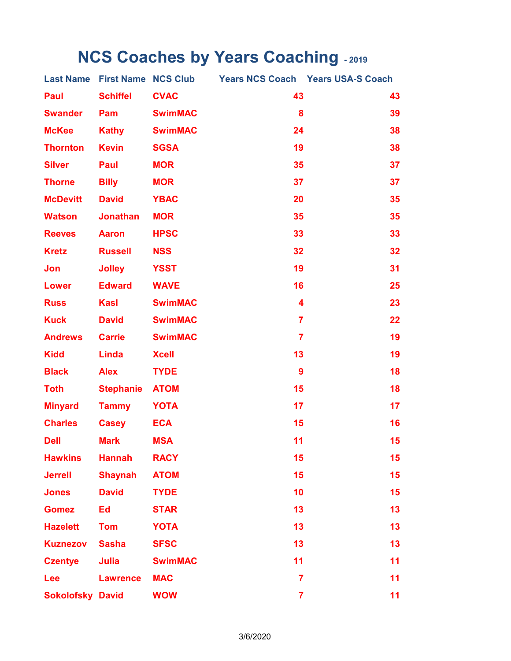## **NCS Coaches by Years Coaching - 2019**

|                         |                  |                |                         | Last Name First Name NCS Club Years NCS Coach Years USA-S Coach |
|-------------------------|------------------|----------------|-------------------------|-----------------------------------------------------------------|
| Paul                    | <b>Schiffel</b>  | <b>CVAC</b>    | 43                      | 43                                                              |
| <b>Swander</b>          | Pam              | <b>SwimMAC</b> | 8                       | 39                                                              |
| <b>McKee</b>            | <b>Kathy</b>     | <b>SwimMAC</b> | 24                      | 38                                                              |
| <b>Thornton</b>         | <b>Kevin</b>     | <b>SGSA</b>    | 19                      | 38                                                              |
| <b>Silver</b>           | Paul             | <b>MOR</b>     | 35                      | 37                                                              |
| <b>Thorne</b>           | <b>Billy</b>     | <b>MOR</b>     | 37                      | 37                                                              |
| <b>McDevitt</b>         | <b>David</b>     | <b>YBAC</b>    | 20                      | 35                                                              |
| Watson                  | <b>Jonathan</b>  | <b>MOR</b>     | 35                      | 35                                                              |
| <b>Reeves</b>           | <b>Aaron</b>     | <b>HPSC</b>    | 33                      | 33                                                              |
| <b>Kretz</b>            | <b>Russell</b>   | <b>NSS</b>     | 32                      | 32                                                              |
| Jon                     | <b>Jolley</b>    | <b>YSST</b>    | 19                      | 31                                                              |
| <b>Lower</b>            | <b>Edward</b>    | <b>WAVE</b>    | 16                      | 25                                                              |
| <b>Russ</b>             | <b>Kasl</b>      | <b>SwimMAC</b> | $\overline{\mathbf{4}}$ | 23                                                              |
| <b>Kuck</b>             | <b>David</b>     | <b>SwimMAC</b> | $\overline{7}$          | 22                                                              |
| <b>Andrews</b>          | <b>Carrie</b>    | <b>SwimMAC</b> | $\overline{7}$          | 19                                                              |
| <b>Kidd</b>             | Linda            | <b>Xcell</b>   | 13                      | 19                                                              |
| <b>Black</b>            | <b>Alex</b>      | <b>TYDE</b>    | 9                       | 18                                                              |
| <b>Toth</b>             | <b>Stephanie</b> | <b>ATOM</b>    | 15                      | 18                                                              |
| <b>Minyard</b>          | <b>Tammy</b>     | <b>YOTA</b>    | 17                      | 17                                                              |
| <b>Charles</b>          | <b>Casey</b>     | <b>ECA</b>     | 15                      | 16                                                              |
| <b>Dell</b>             | <b>Mark</b>      | <b>MSA</b>     | 11                      | 15                                                              |
| <b>Hawkins</b>          | <b>Hannah</b>    | <b>RACY</b>    | 15                      | 15 <sub>1</sub>                                                 |
| <b>Jerrell</b>          | <b>Shaynah</b>   | <b>ATOM</b>    | 15                      | 15                                                              |
| <b>Jones</b>            | <b>David</b>     | <b>TYDE</b>    | 10                      | 15                                                              |
| <b>Gomez</b>            | Ed               | <b>STAR</b>    | 13                      | 13                                                              |
| <b>Hazelett</b>         | <b>Tom</b>       | <b>YOTA</b>    | 13                      | 13                                                              |
| <b>Kuznezov</b>         | <b>Sasha</b>     | <b>SFSC</b>    | 13                      | 13                                                              |
| <b>Czentye</b>          | Julia            | <b>SwimMAC</b> | 11                      | 11                                                              |
| Lee                     | <b>Lawrence</b>  | <b>MAC</b>     | $\overline{7}$          | 11                                                              |
| <b>Sokolofsky David</b> |                  | <b>WOW</b>     | $\overline{\mathbf{7}}$ | 11 <sub>1</sub>                                                 |